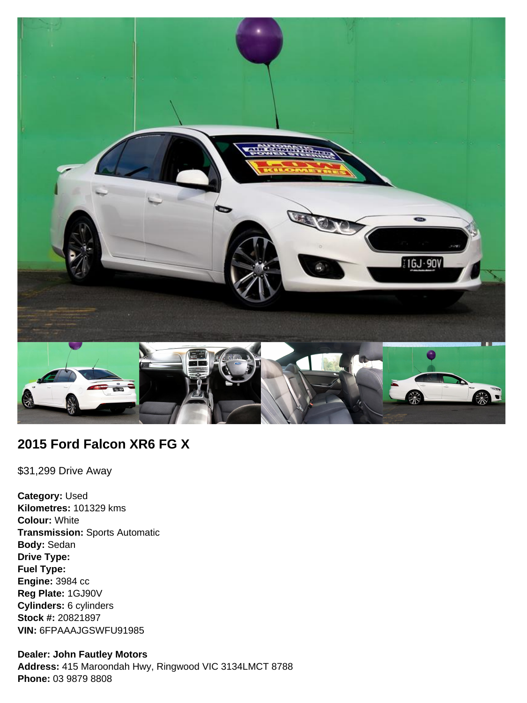

# **2015 Ford Falcon XR6 FG X**

\$31,299 Drive Away

**Category:** Used **Kilometres:** 101329 kms **Colour:** White **Transmission:** Sports Automatic **Body:** Sedan **Drive Type: Fuel Type: Engine:** 3984 cc **Reg Plate:** 1GJ90V **Cylinders:** 6 cylinders **Stock #:** 20821897 **VIN:** 6FPAAAJGSWFU91985

## **Dealer: John Fautley Motors**

**Address:** 415 Maroondah Hwy, Ringwood VIC 3134LMCT 8788 **Phone:** 03 9879 8808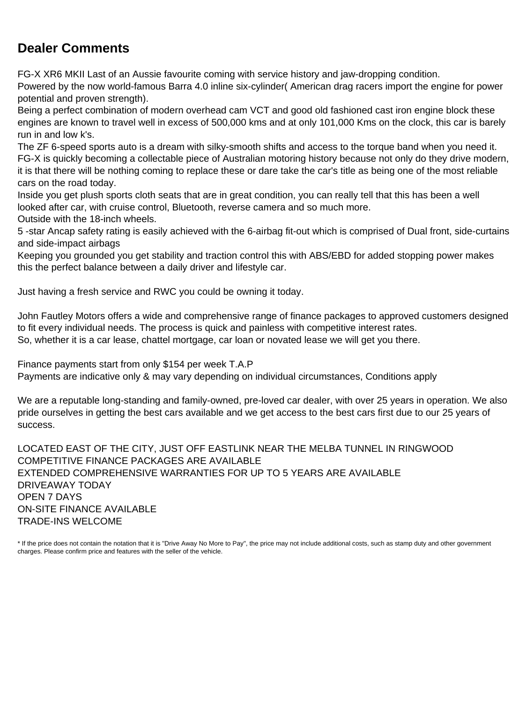# **Dealer Comments**

FG-X XR6 MKII Last of an Aussie favourite coming with service history and jaw-dropping condition.

Powered by the now world-famous Barra 4.0 inline six-cylinder( American drag racers import the engine for power potential and proven strength).

Being a perfect combination of modern overhead cam VCT and good old fashioned cast iron engine block these engines are known to travel well in excess of 500,000 kms and at only 101,000 Kms on the clock, this car is barely run in and low k's.

The ZF 6-speed sports auto is a dream with silky-smooth shifts and access to the torque band when you need it. FG-X is quickly becoming a collectable piece of Australian motoring history because not only do they drive modern, it is that there will be nothing coming to replace these or dare take the car's title as being one of the most reliable cars on the road today.

Inside you get plush sports cloth seats that are in great condition, you can really tell that this has been a well looked after car, with cruise control, Bluetooth, reverse camera and so much more.

Outside with the 18-inch wheels.

5 -star Ancap safety rating is easily achieved with the 6-airbag fit-out which is comprised of Dual front, side-curtains and side-impact airbags

Keeping you grounded you get stability and traction control this with ABS/EBD for added stopping power makes this the perfect balance between a daily driver and lifestyle car.

Just having a fresh service and RWC you could be owning it today.

John Fautley Motors offers a wide and comprehensive range of finance packages to approved customers designed to fit every individual needs. The process is quick and painless with competitive interest rates. So, whether it is a car lease, chattel mortgage, car loan or novated lease we will get you there.

Finance payments start from only \$154 per week T.A.P

Payments are indicative only & may vary depending on individual circumstances, Conditions apply

We are a reputable long-standing and family-owned, pre-loved car dealer, with over 25 years in operation. We also pride ourselves in getting the best cars available and we get access to the best cars first due to our 25 years of success.

LOCATED EAST OF THE CITY, JUST OFF EASTLINK NEAR THE MELBA TUNNEL IN RINGWOOD COMPETITIVE FINANCE PACKAGES ARE AVAILABLE EXTENDED COMPREHENSIVE WARRANTIES FOR UP TO 5 YEARS ARE AVAILABLE DRIVEAWAY TODAY OPEN 7 DAYS ON-SITE FINANCE AVAILABLE TRADE-INS WELCOME

\* If the price does not contain the notation that it is "Drive Away No More to Pay", the price may not include additional costs, such as stamp duty and other government charges. Please confirm price and features with the seller of the vehicle.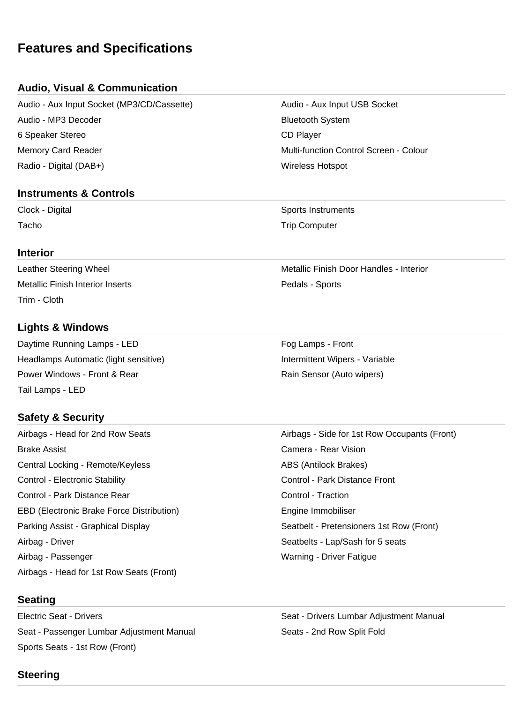# **Features and Specifications**

# **Audio, Visual & Communication**

Audio - Aux Input Socket (MP3/CD/Cassette) Audio - Aux Input USB Socket Audio - MP3 Decoder **Bluetooth System** Bluetooth System 6 Speaker Stereo CD Player Memory Card Reader Multi-function Control Screen - Colour Radio - Digital (DAB+) Wireless Hotspot

## **Instruments & Controls**

#### **Interior**

Metallic Finish Interior Inserts **Pedals - Sports** Pedals - Sports Trim - Cloth

## **Lights & Windows**

Daytime Running Lamps - LED **Four Lamps - Front** Fog Lamps - Front Headlamps Automatic (light sensitive) **Intermittent Wipers - Variable** Intermittent Wipers - Variable Power Windows - Front & Rear Rain Sensor (Auto wipers) Tail Lamps - LED

# **Safety & Security**

Airbags - Head for 2nd Row Seats Airbags - Side for 1st Row Occupants (Front) Brake Assist Camera - Rear Vision Central Locking - Remote/Keyless ABS (Antilock Brakes) Control - Electronic Stability Control - Park Distance Front Control - Park Distance Rear Control - Traction EBD (Electronic Brake Force Distribution) The Summon Engine Immobiliser Parking Assist - Graphical Display Seatbelt - Pretensioners 1st Row (Front) Airbag - Driver Seats - Lap/Sash for 5 seats Airbag - Passenger Warning - Driver Fatigue Airbags - Head for 1st Row Seats (Front)

# **Seating**

Electric Seat - Drivers **Seat - Drivers Community** Seat - Drivers Lumbar Adjustment Manual Seat - Passenger Lumbar Adjustment Manual Seats - 2nd Row Split Fold Sports Seats - 1st Row (Front)

Clock - Digital Sports Instruments Tacho **Trip Computer** Trip Computer

Leather Steering Wheel Metallic Finish Door Handles - Interior

# **Steering**